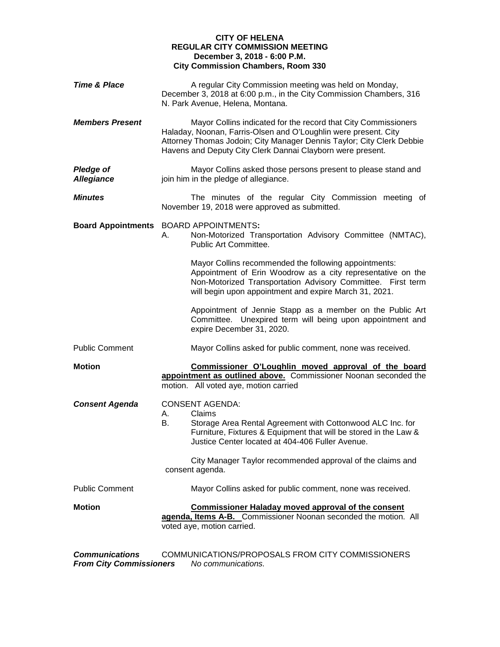## **CITY OF HELENA REGULAR CITY COMMISSION MEETING December 3, 2018 - 6:00 P.M. City Commission Chambers, Room 330**

| <b>Time &amp; Place</b>               | A regular City Commission meeting was held on Monday,<br>December 3, 2018 at 6:00 p.m., in the City Commission Chambers, 316<br>N. Park Avenue, Helena, Montana.                                                                                                                                                    |  |
|---------------------------------------|---------------------------------------------------------------------------------------------------------------------------------------------------------------------------------------------------------------------------------------------------------------------------------------------------------------------|--|
| <b>Members Present</b>                | Mayor Collins indicated for the record that City Commissioners<br>Haladay, Noonan, Farris-Olsen and O'Loughlin were present. City<br>Attorney Thomas Jodoin; City Manager Dennis Taylor; City Clerk Debbie<br>Havens and Deputy City Clerk Dannai Clayborn were present.                                            |  |
| <b>Pledge of</b><br><b>Allegiance</b> | Mayor Collins asked those persons present to please stand and<br>join him in the pledge of allegiance.                                                                                                                                                                                                              |  |
| <b>Minutes</b>                        | The minutes of the regular City Commission meeting of<br>November 19, 2018 were approved as submitted.                                                                                                                                                                                                              |  |
|                                       | Board Appointments BOARD APPOINTMENTS:<br>Non-Motorized Transportation Advisory Committee (NMTAC),<br>А.<br>Public Art Committee.                                                                                                                                                                                   |  |
|                                       | Mayor Collins recommended the following appointments:<br>Appointment of Erin Woodrow as a city representative on the<br>Non-Motorized Transportation Advisory Committee. First term<br>will begin upon appointment and expire March 31, 2021.                                                                       |  |
|                                       | Appointment of Jennie Stapp as a member on the Public Art<br>Committee. Unexpired term will being upon appointment and<br>expire December 31, 2020.                                                                                                                                                                 |  |
| <b>Public Comment</b>                 | Mayor Collins asked for public comment, none was received.                                                                                                                                                                                                                                                          |  |
| <b>Motion</b>                         | Commissioner O'Loughlin moved approval of the board<br>appointment as outlined above. Commissioner Noonan seconded the<br>motion. All voted aye, motion carried                                                                                                                                                     |  |
| <b>Consent Agenda</b>                 | <b>CONSENT AGENDA:</b><br>Claims<br>А.<br>Storage Area Rental Agreement with Cottonwood ALC Inc. for<br>В.<br>Furniture, Fixtures & Equipment that will be stored in the Law &<br>Justice Center located at 404-406 Fuller Avenue.<br>City Manager Taylor recommended approval of the claims and<br>consent agenda. |  |
| <b>Public Comment</b>                 | Mayor Collins asked for public comment, none was received.                                                                                                                                                                                                                                                          |  |
| <b>Motion</b>                         | <b>Commissioner Haladay moved approval of the consent</b><br>agenda, Items A-B. Commissioner Noonan seconded the motion. All<br>voted aye, motion carried.                                                                                                                                                          |  |
|                                       |                                                                                                                                                                                                                                                                                                                     |  |

*Communications* COMMUNICATIONS/PROPOSALS FROM CITY COMMISSIONERS *From City Commissioners No communications.*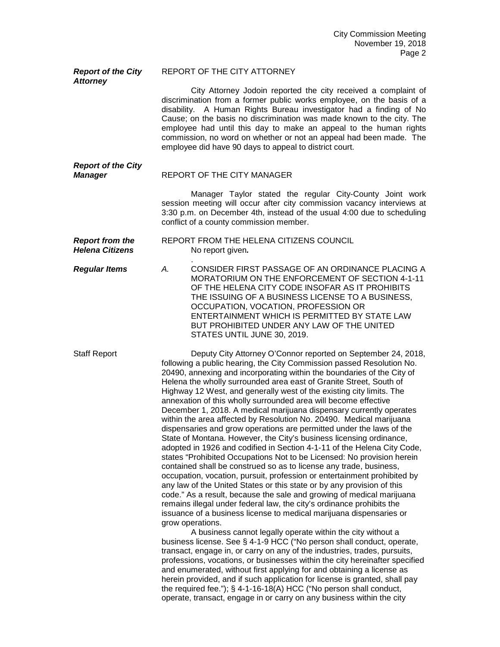| <b>Report of the City</b><br><b>Attorney</b>     | REPORT OF THE CITY ATTORNEY                                                                                                                                                                                                                                                                                                                                                                                                                                                                                                                                                                                                                                                                                                                                                                                                                                                                                                                                                                                                                                                                                                                                                                                                                                                                                                                                                                                                                                                                                                                                                                                                                                                                                                                                                                                             |
|--------------------------------------------------|-------------------------------------------------------------------------------------------------------------------------------------------------------------------------------------------------------------------------------------------------------------------------------------------------------------------------------------------------------------------------------------------------------------------------------------------------------------------------------------------------------------------------------------------------------------------------------------------------------------------------------------------------------------------------------------------------------------------------------------------------------------------------------------------------------------------------------------------------------------------------------------------------------------------------------------------------------------------------------------------------------------------------------------------------------------------------------------------------------------------------------------------------------------------------------------------------------------------------------------------------------------------------------------------------------------------------------------------------------------------------------------------------------------------------------------------------------------------------------------------------------------------------------------------------------------------------------------------------------------------------------------------------------------------------------------------------------------------------------------------------------------------------------------------------------------------------|
|                                                  | City Attorney Jodoin reported the city received a complaint of<br>discrimination from a former public works employee, on the basis of a<br>disability. A Human Rights Bureau investigator had a finding of No<br>Cause; on the basis no discrimination was made known to the city. The<br>employee had until this day to make an appeal to the human rights<br>commission, no word on whether or not an appeal had been made. The<br>employee did have 90 days to appeal to district court.                                                                                                                                                                                                                                                                                                                                                                                                                                                                                                                                                                                                                                                                                                                                                                                                                                                                                                                                                                                                                                                                                                                                                                                                                                                                                                                             |
| <b>Report of the City</b><br><b>Manager</b>      | REPORT OF THE CITY MANAGER                                                                                                                                                                                                                                                                                                                                                                                                                                                                                                                                                                                                                                                                                                                                                                                                                                                                                                                                                                                                                                                                                                                                                                                                                                                                                                                                                                                                                                                                                                                                                                                                                                                                                                                                                                                              |
|                                                  | Manager Taylor stated the regular City-County Joint work<br>session meeting will occur after city commission vacancy interviews at<br>3:30 p.m. on December 4th, instead of the usual 4:00 due to scheduling<br>conflict of a county commission member.                                                                                                                                                                                                                                                                                                                                                                                                                                                                                                                                                                                                                                                                                                                                                                                                                                                                                                                                                                                                                                                                                                                                                                                                                                                                                                                                                                                                                                                                                                                                                                 |
| <b>Report from the</b><br><b>Helena Citizens</b> | REPORT FROM THE HELENA CITIZENS COUNCIL<br>No report given.                                                                                                                                                                                                                                                                                                                                                                                                                                                                                                                                                                                                                                                                                                                                                                                                                                                                                                                                                                                                                                                                                                                                                                                                                                                                                                                                                                                                                                                                                                                                                                                                                                                                                                                                                             |
| <b>Regular Items</b>                             | CONSIDER FIRST PASSAGE OF AN ORDINANCE PLACING A<br>А.<br>MORATORIUM ON THE ENFORCEMENT OF SECTION 4-1-11<br>OF THE HELENA CITY CODE INSOFAR AS IT PROHIBITS<br>THE ISSUING OF A BUSINESS LICENSE TO A BUSINESS,<br>OCCUPATION, VOCATION, PROFESSION OR<br>ENTERTAINMENT WHICH IS PERMITTED BY STATE LAW<br>BUT PROHIBITED UNDER ANY LAW OF THE UNITED<br>STATES UNTIL JUNE 30, 2019.                                                                                                                                                                                                                                                                                                                                                                                                                                                                                                                                                                                                                                                                                                                                                                                                                                                                                                                                                                                                                                                                                                                                                                                                                                                                                                                                                                                                                                   |
| <b>Staff Report</b>                              | Deputy City Attorney O'Connor reported on September 24, 2018,<br>following a public hearing, the City Commission passed Resolution No.<br>20490, annexing and incorporating within the boundaries of the City of<br>Helena the wholly surrounded area east of Granite Street, South of<br>Highway 12 West, and generally west of the existing city limits. The<br>annexation of this wholly surrounded area will become effective<br>December 1, 2018. A medical marijuana dispensary currently operates<br>within the area affected by Resolution No. 20490. Medical marijuana<br>dispensaries and grow operations are permitted under the laws of the<br>State of Montana. However, the City's business licensing ordinance,<br>adopted in 1926 and codified in Section 4-1-11 of the Helena City Code,<br>states "Prohibited Occupations Not to be Licensed: No provision herein<br>contained shall be construed so as to license any trade, business,<br>occupation, vocation, pursuit, profession or entertainment prohibited by<br>any law of the United States or this state or by any provision of this<br>code." As a result, because the sale and growing of medical marijuana<br>remains illegal under federal law, the city's ordinance prohibits the<br>issuance of a business license to medical marijuana dispensaries or<br>grow operations.<br>A business cannot legally operate within the city without a<br>business license. See § 4-1-9 HCC ("No person shall conduct, operate,<br>transact, engage in, or carry on any of the industries, trades, pursuits,<br>professions, vocations, or businesses within the city hereinafter specified<br>and enumerated, without first applying for and obtaining a license as<br>herein provided, and if such application for license is granted, shall pay |

the required fee."); § 4-1-16-18(A) HCC ("No person shall conduct, operate, transact, engage in or carry on any business within the city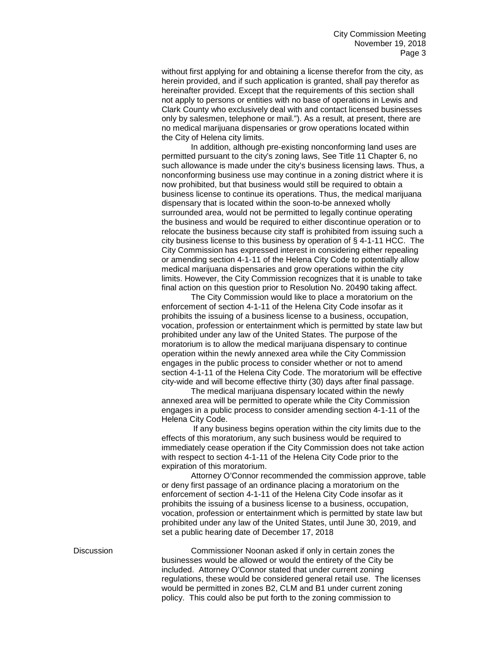without first applying for and obtaining a license therefor from the city, as herein provided, and if such application is granted, shall pay therefor as hereinafter provided. Except that the requirements of this section shall not apply to persons or entities with no base of operations in Lewis and Clark County who exclusively deal with and contact licensed businesses only by salesmen, telephone or mail."). As a result, at present, there are no medical marijuana dispensaries or grow operations located within the City of Helena city limits.

In addition, although pre-existing nonconforming land uses are permitted pursuant to the city's zoning laws, See Title 11 Chapter 6, no such allowance is made under the city's business licensing laws. Thus, a nonconforming business use may continue in a zoning district where it is now prohibited, but that business would still be required to obtain a business license to continue its operations. Thus, the medical marijuana dispensary that is located within the soon-to-be annexed wholly surrounded area, would not be permitted to legally continue operating the business and would be required to either discontinue operation or to relocate the business because city staff is prohibited from issuing such a city business license to this business by operation of § 4-1-11 HCC. The City Commission has expressed interest in considering either repealing or amending section 4-1-11 of the Helena City Code to potentially allow medical marijuana dispensaries and grow operations within the city limits. However, the City Commission recognizes that it is unable to take final action on this question prior to Resolution No. 20490 taking affect.

The City Commission would like to place a moratorium on the enforcement of section 4-1-11 of the Helena City Code insofar as it prohibits the issuing of a business license to a business, occupation, vocation, profession or entertainment which is permitted by state law but prohibited under any law of the United States. The purpose of the moratorium is to allow the medical marijuana dispensary to continue operation within the newly annexed area while the City Commission engages in the public process to consider whether or not to amend section 4-1-11 of the Helena City Code. The moratorium will be effective city-wide and will become effective thirty (30) days after final passage.

The medical marijuana dispensary located within the newly annexed area will be permitted to operate while the City Commission engages in a public process to consider amending section 4-1-11 of the Helena City Code.

If any business begins operation within the city limits due to the effects of this moratorium, any such business would be required to immediately cease operation if the City Commission does not take action with respect to section 4-1-11 of the Helena City Code prior to the expiration of this moratorium.

Attorney O'Connor recommended the commission approve, table or deny first passage of an ordinance placing a moratorium on the enforcement of section 4-1-11 of the Helena City Code insofar as it prohibits the issuing of a business license to a business, occupation, vocation, profession or entertainment which is permitted by state law but prohibited under any law of the United States, until June 30, 2019, and set a public hearing date of December 17, 2018

Discussion Commissioner Noonan asked if only in certain zones the businesses would be allowed or would the entirety of the City be included. Attorney O'Connor stated that under current zoning regulations, these would be considered general retail use. The licenses would be permitted in zones B2, CLM and B1 under current zoning policy. This could also be put forth to the zoning commission to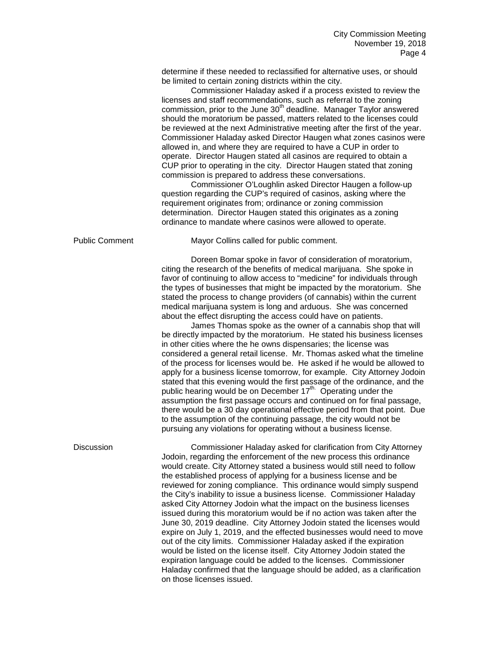determine if these needed to reclassified for alternative uses, or should be limited to certain zoning districts within the city.

Commissioner Haladay asked if a process existed to review the licenses and staff recommendations, such as referral to the zoning commission, prior to the June  $30<sup>th</sup>$  deadline. Manager Taylor answered should the moratorium be passed, matters related to the licenses could be reviewed at the next Administrative meeting after the first of the year. Commissioner Haladay asked Director Haugen what zones casinos were allowed in, and where they are required to have a CUP in order to operate. Director Haugen stated all casinos are required to obtain a CUP prior to operating in the city. Director Haugen stated that zoning commission is prepared to address these conversations.

Commissioner O'Loughlin asked Director Haugen a follow-up question regarding the CUP's required of casinos, asking where the requirement originates from; ordinance or zoning commission determination. Director Haugen stated this originates as a zoning ordinance to mandate where casinos were allowed to operate.

Public Comment Mayor Collins called for public comment.

Doreen Bomar spoke in favor of consideration of moratorium, citing the research of the benefits of medical marijuana. She spoke in favor of continuing to allow access to "medicine" for individuals through the types of businesses that might be impacted by the moratorium. She stated the process to change providers (of cannabis) within the current medical marijuana system is long and arduous. She was concerned about the effect disrupting the access could have on patients.

James Thomas spoke as the owner of a cannabis shop that will be directly impacted by the moratorium. He stated his business licenses in other cities where the he owns dispensaries; the license was considered a general retail license. Mr. Thomas asked what the timeline of the process for licenses would be. He asked if he would be allowed to apply for a business license tomorrow, for example. City Attorney Jodoin stated that this evening would the first passage of the ordinance, and the public hearing would be on December  $17<sup>th</sup>$ . Operating under the assumption the first passage occurs and continued on for final passage, there would be a 30 day operational effective period from that point. Due to the assumption of the continuing passage, the city would not be pursuing any violations for operating without a business license.

Discussion Commissioner Haladay asked for clarification from City Attorney Jodoin, regarding the enforcement of the new process this ordinance would create. City Attorney stated a business would still need to follow the established process of applying for a business license and be reviewed for zoning compliance. This ordinance would simply suspend the City's inability to issue a business license. Commissioner Haladay asked City Attorney Jodoin what the impact on the business licenses issued during this moratorium would be if no action was taken after the June 30, 2019 deadline. City Attorney Jodoin stated the licenses would expire on July 1, 2019, and the effected businesses would need to move out of the city limits. Commissioner Haladay asked if the expiration would be listed on the license itself. City Attorney Jodoin stated the expiration language could be added to the licenses. Commissioner Haladay confirmed that the language should be added, as a clarification on those licenses issued.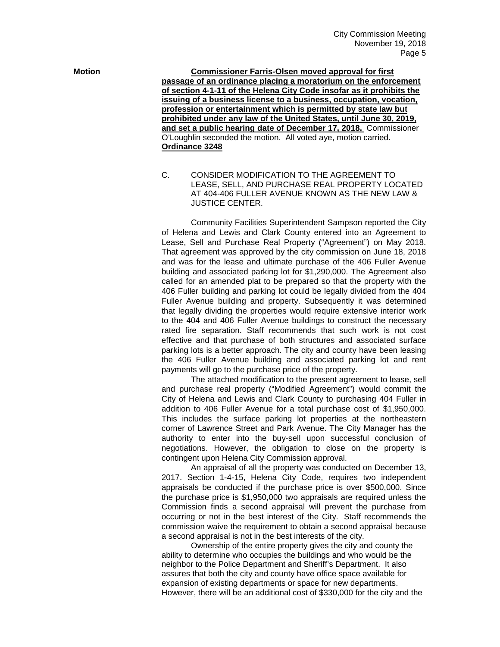**Motion Commissioner Farris-Olsen moved approval for first passage of an ordinance placing a moratorium on the enforcement of section 4-1-11 of the Helena City Code insofar as it prohibits the issuing of a business license to a business, occupation, vocation, profession or entertainment which is permitted by state law but prohibited under any law of the United States, until June 30, 2019, and set a public hearing date of December 17, 2018.** Commissioner O'Loughlin seconded the motion. All voted aye, motion carried. **Ordinance 3248** 

> C. CONSIDER MODIFICATION TO THE AGREEMENT TO LEASE, SELL, AND PURCHASE REAL PROPERTY LOCATED AT 404-406 FULLER AVENUE KNOWN AS THE NEW LAW & JUSTICE CENTER.

Community Facilities Superintendent Sampson reported the City of Helena and Lewis and Clark County entered into an Agreement to Lease, Sell and Purchase Real Property ("Agreement") on May 2018. That agreement was approved by the city commission on June 18, 2018 and was for the lease and ultimate purchase of the 406 Fuller Avenue building and associated parking lot for \$1,290,000. The Agreement also called for an amended plat to be prepared so that the property with the 406 Fuller building and parking lot could be legally divided from the 404 Fuller Avenue building and property. Subsequently it was determined that legally dividing the properties would require extensive interior work to the 404 and 406 Fuller Avenue buildings to construct the necessary rated fire separation. Staff recommends that such work is not cost effective and that purchase of both structures and associated surface parking lots is a better approach. The city and county have been leasing the 406 Fuller Avenue building and associated parking lot and rent payments will go to the purchase price of the property.

The attached modification to the present agreement to lease, sell and purchase real property ("Modified Agreement") would commit the City of Helena and Lewis and Clark County to purchasing 404 Fuller in addition to 406 Fuller Avenue for a total purchase cost of \$1,950,000. This includes the surface parking lot properties at the northeastern corner of Lawrence Street and Park Avenue. The City Manager has the authority to enter into the buy-sell upon successful conclusion of negotiations. However, the obligation to close on the property is contingent upon Helena City Commission approval.

An appraisal of all the property was conducted on December 13, 2017. Section 1-4-15, Helena City Code, requires two independent appraisals be conducted if the purchase price is over \$500,000. Since the purchase price is \$1,950,000 two appraisals are required unless the Commission finds a second appraisal will prevent the purchase from occurring or not in the best interest of the City. Staff recommends the commission waive the requirement to obtain a second appraisal because a second appraisal is not in the best interests of the city.

Ownership of the entire property gives the city and county the ability to determine who occupies the buildings and who would be the neighbor to the Police Department and Sheriff's Department. It also assures that both the city and county have office space available for expansion of existing departments or space for new departments. However, there will be an additional cost of \$330,000 for the city and the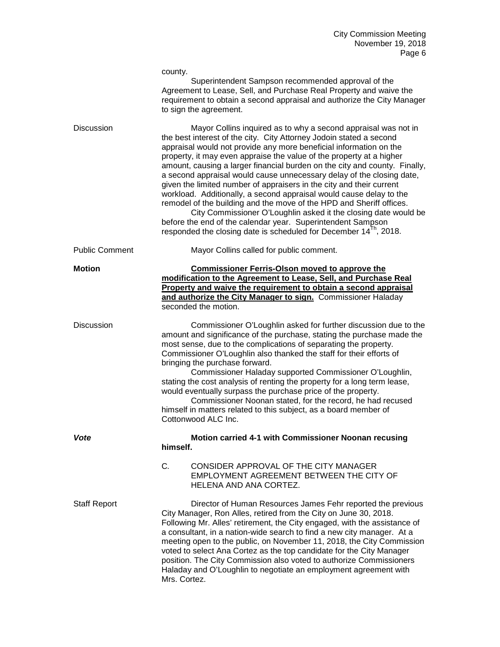|                       | county.<br>Superintendent Sampson recommended approval of the<br>Agreement to Lease, Sell, and Purchase Real Property and waive the<br>requirement to obtain a second appraisal and authorize the City Manager<br>to sign the agreement.                                                                                                                                                                                                                                                                                                                                                                                                                                                                                                                                                                                                                                             |
|-----------------------|--------------------------------------------------------------------------------------------------------------------------------------------------------------------------------------------------------------------------------------------------------------------------------------------------------------------------------------------------------------------------------------------------------------------------------------------------------------------------------------------------------------------------------------------------------------------------------------------------------------------------------------------------------------------------------------------------------------------------------------------------------------------------------------------------------------------------------------------------------------------------------------|
| <b>Discussion</b>     | Mayor Collins inquired as to why a second appraisal was not in<br>the best interest of the city. City Attorney Jodoin stated a second<br>appraisal would not provide any more beneficial information on the<br>property, it may even appraise the value of the property at a higher<br>amount, causing a larger financial burden on the city and county. Finally,<br>a second appraisal would cause unnecessary delay of the closing date,<br>given the limited number of appraisers in the city and their current<br>workload. Additionally, a second appraisal would cause delay to the<br>remodel of the building and the move of the HPD and Sheriff offices.<br>City Commissioner O'Loughlin asked it the closing date would be<br>before the end of the calendar year. Superintendent Sampson<br>responded the closing date is scheduled for December 14 <sup>Th</sup> , 2018. |
| <b>Public Comment</b> | Mayor Collins called for public comment.                                                                                                                                                                                                                                                                                                                                                                                                                                                                                                                                                                                                                                                                                                                                                                                                                                             |
| <b>Motion</b>         | <b>Commissioner Ferris-Olson moved to approve the</b><br>modification to the Agreement to Lease, Sell, and Purchase Real<br>Property and waive the requirement to obtain a second appraisal<br>and authorize the City Manager to sign. Commissioner Haladay<br>seconded the motion.                                                                                                                                                                                                                                                                                                                                                                                                                                                                                                                                                                                                  |
| <b>Discussion</b>     | Commissioner O'Loughlin asked for further discussion due to the<br>amount and significance of the purchase, stating the purchase made the<br>most sense, due to the complications of separating the property.<br>Commissioner O'Loughlin also thanked the staff for their efforts of<br>bringing the purchase forward.<br>Commissioner Haladay supported Commissioner O'Loughlin,<br>stating the cost analysis of renting the property for a long term lease,<br>would eventually surpass the purchase price of the property.<br>Commissioner Noonan stated, for the record, he had recused<br>himself in matters related to this subject, as a board member of<br>Cottonwood ALC Inc.                                                                                                                                                                                               |
| Vote                  | Motion carried 4-1 with Commissioner Noonan recusing<br>himself.                                                                                                                                                                                                                                                                                                                                                                                                                                                                                                                                                                                                                                                                                                                                                                                                                     |
|                       | C.<br>CONSIDER APPROVAL OF THE CITY MANAGER<br>EMPLOYMENT AGREEMENT BETWEEN THE CITY OF<br>HELENA AND ANA CORTEZ.                                                                                                                                                                                                                                                                                                                                                                                                                                                                                                                                                                                                                                                                                                                                                                    |
| <b>Staff Report</b>   | Director of Human Resources James Fehr reported the previous<br>City Manager, Ron Alles, retired from the City on June 30, 2018.<br>Following Mr. Alles' retirement, the City engaged, with the assistance of<br>a consultant, in a nation-wide search to find a new city manager. At a<br>meeting open to the public, on November 11, 2018, the City Commission<br>voted to select Ana Cortez as the top candidate for the City Manager<br>position. The City Commission also voted to authorize Commissioners<br>Haladay and O'Loughlin to negotiate an employment agreement with<br>Mrs. Cortez.                                                                                                                                                                                                                                                                                  |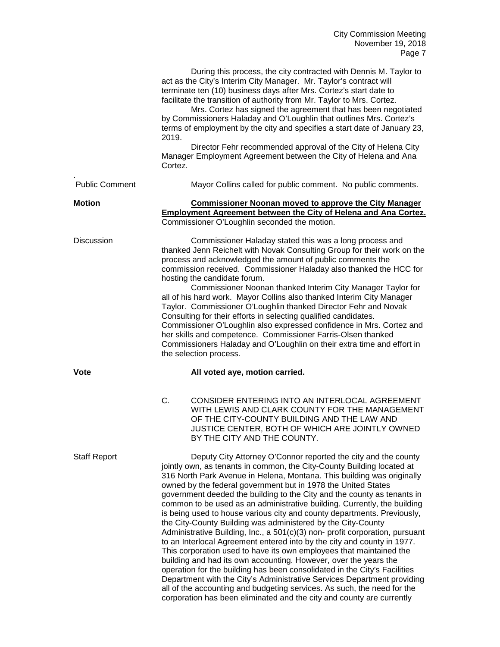|                       | 2019.<br>Cortez.                                                                                                                                                                                                                                                                                                                                                                                                                                                                                                                                                                                                                                                                                                                                                                                                                                                                                                                                                                                                                                                                                                               | During this process, the city contracted with Dennis M. Taylor to<br>act as the City's Interim City Manager. Mr. Taylor's contract will<br>terminate ten (10) business days after Mrs. Cortez's start date to<br>facilitate the transition of authority from Mr. Taylor to Mrs. Cortez.<br>Mrs. Cortez has signed the agreement that has been negotiated<br>by Commissioners Haladay and O'Loughlin that outlines Mrs. Cortez's<br>terms of employment by the city and specifies a start date of January 23,<br>Director Fehr recommended approval of the City of Helena City<br>Manager Employment Agreement between the City of Helena and Ana |
|-----------------------|--------------------------------------------------------------------------------------------------------------------------------------------------------------------------------------------------------------------------------------------------------------------------------------------------------------------------------------------------------------------------------------------------------------------------------------------------------------------------------------------------------------------------------------------------------------------------------------------------------------------------------------------------------------------------------------------------------------------------------------------------------------------------------------------------------------------------------------------------------------------------------------------------------------------------------------------------------------------------------------------------------------------------------------------------------------------------------------------------------------------------------|--------------------------------------------------------------------------------------------------------------------------------------------------------------------------------------------------------------------------------------------------------------------------------------------------------------------------------------------------------------------------------------------------------------------------------------------------------------------------------------------------------------------------------------------------------------------------------------------------------------------------------------------------|
| <b>Public Comment</b> |                                                                                                                                                                                                                                                                                                                                                                                                                                                                                                                                                                                                                                                                                                                                                                                                                                                                                                                                                                                                                                                                                                                                | Mayor Collins called for public comment. No public comments.                                                                                                                                                                                                                                                                                                                                                                                                                                                                                                                                                                                     |
| <b>Motion</b>         |                                                                                                                                                                                                                                                                                                                                                                                                                                                                                                                                                                                                                                                                                                                                                                                                                                                                                                                                                                                                                                                                                                                                | <b>Commissioner Noonan moved to approve the City Manager</b><br><b>Employment Agreement between the City of Helena and Ana Cortez.</b><br>Commissioner O'Loughlin seconded the motion.                                                                                                                                                                                                                                                                                                                                                                                                                                                           |
| <b>Discussion</b>     | Commissioner Haladay stated this was a long process and<br>thanked Jenn Reichelt with Novak Consulting Group for their work on the<br>process and acknowledged the amount of public comments the<br>commission received. Commissioner Haladay also thanked the HCC for<br>hosting the candidate forum.<br>Commissioner Noonan thanked Interim City Manager Taylor for<br>all of his hard work. Mayor Collins also thanked Interim City Manager<br>Taylor. Commissioner O'Loughlin thanked Director Fehr and Novak<br>Consulting for their efforts in selecting qualified candidates.<br>Commissioner O'Loughlin also expressed confidence in Mrs. Cortez and<br>her skills and competence. Commissioner Farris-Olsen thanked<br>Commissioners Haladay and O'Loughlin on their extra time and effort in<br>the selection process.                                                                                                                                                                                                                                                                                               |                                                                                                                                                                                                                                                                                                                                                                                                                                                                                                                                                                                                                                                  |
| <b>Vote</b>           |                                                                                                                                                                                                                                                                                                                                                                                                                                                                                                                                                                                                                                                                                                                                                                                                                                                                                                                                                                                                                                                                                                                                | All voted aye, motion carried.                                                                                                                                                                                                                                                                                                                                                                                                                                                                                                                                                                                                                   |
|                       | C.                                                                                                                                                                                                                                                                                                                                                                                                                                                                                                                                                                                                                                                                                                                                                                                                                                                                                                                                                                                                                                                                                                                             | CONSIDER ENTERING INTO AN INTERLOCAL AGREEMENT<br>WITH LEWIS AND CLARK COUNTY FOR THE MANAGEMENT<br>OF THE CITY-COUNTY BUILDING AND THE LAW AND<br>JUSTICE CENTER, BOTH OF WHICH ARE JOINTLY OWNED<br>BY THE CITY AND THE COUNTY.                                                                                                                                                                                                                                                                                                                                                                                                                |
| <b>Staff Report</b>   | Deputy City Attorney O'Connor reported the city and the county<br>jointly own, as tenants in common, the City-County Building located at<br>316 North Park Avenue in Helena, Montana. This building was originally<br>owned by the federal government but in 1978 the United States<br>government deeded the building to the City and the county as tenants in<br>common to be used as an administrative building. Currently, the building<br>is being used to house various city and county departments. Previously,<br>the City-County Building was administered by the City-County<br>Administrative Building, Inc., a 501(c)(3) non- profit corporation, pursuant<br>to an Interlocal Agreement entered into by the city and county in 1977.<br>This corporation used to have its own employees that maintained the<br>building and had its own accounting. However, over the years the<br>operation for the building has been consolidated in the City's Facilities<br>Department with the City's Administrative Services Department providing<br>all of the accounting and budgeting services. As such, the need for the |                                                                                                                                                                                                                                                                                                                                                                                                                                                                                                                                                                                                                                                  |

corporation has been eliminated and the city and county are currently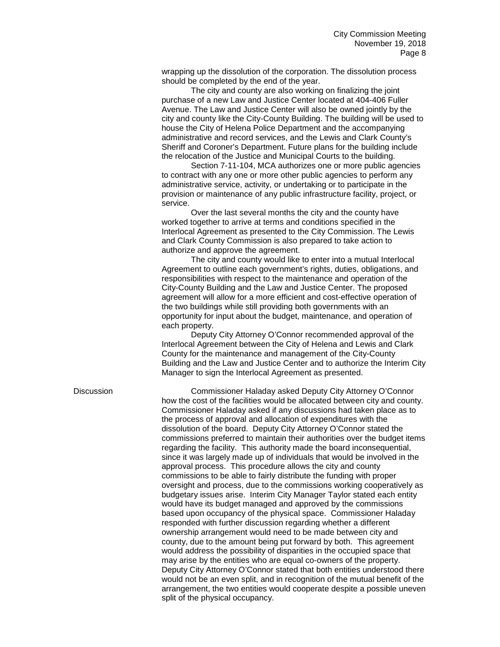wrapping up the dissolution of the corporation. The dissolution process should be completed by the end of the year.

The city and county are also working on finalizing the joint purchase of a new Law and Justice Center located at 404-406 Fuller Avenue. The Law and Justice Center will also be owned jointly by the city and county like the City-County Building. The building will be used to house the City of Helena Police Department and the accompanying administrative and record services, and the Lewis and Clark County's Sheriff and Coroner's Department. Future plans for the building include the relocation of the Justice and Municipal Courts to the building.

Section 7-11-104, MCA authorizes one or more public agencies to contract with any one or more other public agencies to perform any administrative service, activity, or undertaking or to participate in the provision or maintenance of any public infrastructure facility, project, or service.

Over the last several months the city and the county have worked together to arrive at terms and conditions specified in the Interlocal Agreement as presented to the City Commission. The Lewis and Clark County Commission is also prepared to take action to authorize and approve the agreement.

The city and county would like to enter into a mutual Interlocal Agreement to outline each government's rights, duties, obligations, and responsibilities with respect to the maintenance and operation of the City-County Building and the Law and Justice Center. The proposed agreement will allow for a more efficient and cost-effective operation of the two buildings while still providing both governments with an opportunity for input about the budget, maintenance, and operation of each property.

Deputy City Attorney O'Connor recommended approval of the Interlocal Agreement between the City of Helena and Lewis and Clark County for the maintenance and management of the City-County Building and the Law and Justice Center and to authorize the Interim City Manager to sign the Interlocal Agreement as presented.

Discussion Commissioner Haladay asked Deputy City Attorney O'Connor how the cost of the facilities would be allocated between city and county. Commissioner Haladay asked if any discussions had taken place as to the process of approval and allocation of expenditures with the dissolution of the board. Deputy City Attorney O'Connor stated the commissions preferred to maintain their authorities over the budget items regarding the facility. This authority made the board inconsequential, since it was largely made up of individuals that would be involved in the approval process. This procedure allows the city and county commissions to be able to fairly distribute the funding with proper oversight and process, due to the commissions working cooperatively as budgetary issues arise. Interim City Manager Taylor stated each entity would have its budget managed and approved by the commissions based upon occupancy of the physical space. Commissioner Haladay responded with further discussion regarding whether a different ownership arrangement would need to be made between city and county, due to the amount being put forward by both. This agreement would address the possibility of disparities in the occupied space that may arise by the entities who are equal co-owners of the property. Deputy City Attorney O'Connor stated that both entities understood there would not be an even split, and in recognition of the mutual benefit of the arrangement, the two entities would cooperate despite a possible uneven split of the physical occupancy.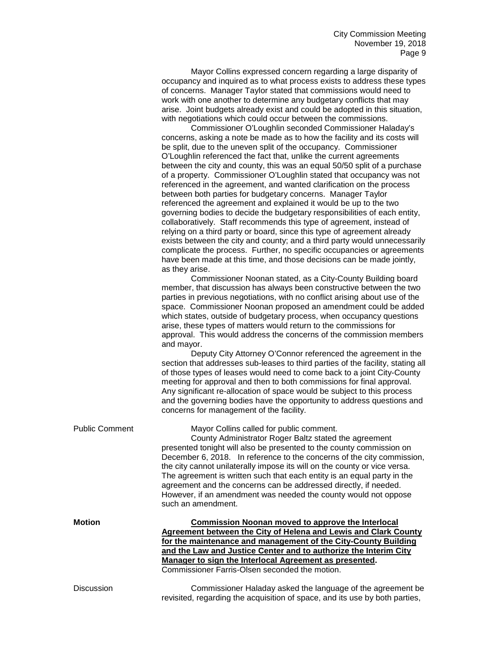Mayor Collins expressed concern regarding a large disparity of occupancy and inquired as to what process exists to address these types of concerns. Manager Taylor stated that commissions would need to work with one another to determine any budgetary conflicts that may arise. Joint budgets already exist and could be adopted in this situation, with negotiations which could occur between the commissions.

Commissioner O'Loughlin seconded Commissioner Haladay's concerns, asking a note be made as to how the facility and its costs will be split, due to the uneven split of the occupancy. Commissioner O'Loughlin referenced the fact that, unlike the current agreements between the city and county, this was an equal 50/50 split of a purchase of a property. Commissioner O'Loughlin stated that occupancy was not referenced in the agreement, and wanted clarification on the process between both parties for budgetary concerns. Manager Taylor referenced the agreement and explained it would be up to the two governing bodies to decide the budgetary responsibilities of each entity, collaboratively. Staff recommends this type of agreement, instead of relying on a third party or board, since this type of agreement already exists between the city and county; and a third party would unnecessarily complicate the process. Further, no specific occupancies or agreements have been made at this time, and those decisions can be made jointly, as they arise.

Commissioner Noonan stated, as a City-County Building board member, that discussion has always been constructive between the two parties in previous negotiations, with no conflict arising about use of the space. Commissioner Noonan proposed an amendment could be added which states, outside of budgetary process, when occupancy questions arise, these types of matters would return to the commissions for approval. This would address the concerns of the commission members and mayor.

Deputy City Attorney O'Connor referenced the agreement in the section that addresses sub-leases to third parties of the facility, stating all of those types of leases would need to come back to a joint City-County meeting for approval and then to both commissions for final approval. Any significant re-allocation of space would be subject to this process and the governing bodies have the opportunity to address questions and concerns for management of the facility.

revisited, regarding the acquisition of space, and its use by both parties,

Public Comment Mayor Collins called for public comment. County Administrator Roger Baltz stated the agreement presented tonight will also be presented to the county commission on December 6, 2018. In reference to the concerns of the city commission, the city cannot unilaterally impose its will on the county or vice versa. The agreement is written such that each entity is an equal party in the agreement and the concerns can be addressed directly, if needed. However, if an amendment was needed the county would not oppose such an amendment. **Motion Commission Noonan moved to approve the Interlocal Agreement between the City of Helena and Lewis and Clark County for the maintenance and management of the City-County Building and the Law and Justice Center and to authorize the Interim City Manager to sign the Interlocal Agreement as presented.**  Commissioner Farris-Olsen seconded the motion. Discussion Commissioner Haladay asked the language of the agreement be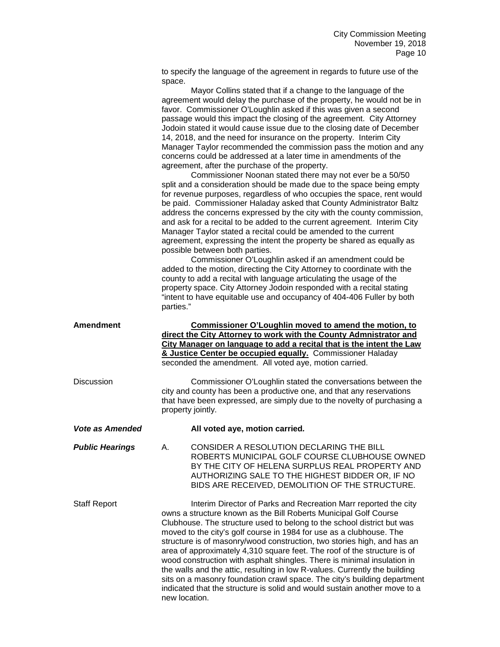to specify the language of the agreement in regards to future use of the space.

|                        | Mayor Collins stated that if a change to the language of the<br>agreement would delay the purchase of the property, he would not be in<br>favor. Commissioner O'Loughlin asked if this was given a second<br>passage would this impact the closing of the agreement. City Attorney<br>Jodoin stated it would cause issue due to the closing date of December<br>14, 2018, and the need for insurance on the property. Interim City<br>Manager Taylor recommended the commission pass the motion and any<br>concerns could be addressed at a later time in amendments of the<br>agreement, after the purchase of the property.<br>Commissioner Noonan stated there may not ever be a 50/50<br>split and a consideration should be made due to the space being empty<br>for revenue purposes, regardless of who occupies the space, rent would<br>be paid. Commissioner Haladay asked that County Administrator Baltz<br>address the concerns expressed by the city with the county commission,<br>and ask for a recital to be added to the current agreement. Interim City<br>Manager Taylor stated a recital could be amended to the current<br>agreement, expressing the intent the property be shared as equally as<br>possible between both parties.<br>Commissioner O'Loughlin asked if an amendment could be<br>added to the motion, directing the City Attorney to coordinate with the<br>county to add a recital with language articulating the usage of the<br>property space. City Attorney Jodoin responded with a recital stating<br>"intent to have equitable use and occupancy of 404-406 Fuller by both<br>parties." |  |  |
|------------------------|------------------------------------------------------------------------------------------------------------------------------------------------------------------------------------------------------------------------------------------------------------------------------------------------------------------------------------------------------------------------------------------------------------------------------------------------------------------------------------------------------------------------------------------------------------------------------------------------------------------------------------------------------------------------------------------------------------------------------------------------------------------------------------------------------------------------------------------------------------------------------------------------------------------------------------------------------------------------------------------------------------------------------------------------------------------------------------------------------------------------------------------------------------------------------------------------------------------------------------------------------------------------------------------------------------------------------------------------------------------------------------------------------------------------------------------------------------------------------------------------------------------------------------------------------------------------------------------------------------------------------------|--|--|
| <b>Amendment</b>       | Commissioner O'Loughlin moved to amend the motion, to<br>direct the City Attorney to work with the County Admnistrator and<br>City Manager on language to add a recital that is the intent the Law<br>& Justice Center be occupied equally. Commissioner Haladay<br>seconded the amendment. All voted aye, motion carried.                                                                                                                                                                                                                                                                                                                                                                                                                                                                                                                                                                                                                                                                                                                                                                                                                                                                                                                                                                                                                                                                                                                                                                                                                                                                                                         |  |  |
| <b>Discussion</b>      | Commissioner O'Loughlin stated the conversations between the<br>city and county has been a productive one, and that any reservations<br>that have been expressed, are simply due to the novelty of purchasing a<br>property jointly.                                                                                                                                                                                                                                                                                                                                                                                                                                                                                                                                                                                                                                                                                                                                                                                                                                                                                                                                                                                                                                                                                                                                                                                                                                                                                                                                                                                               |  |  |
| <b>Vote as Amended</b> | All voted aye, motion carried.                                                                                                                                                                                                                                                                                                                                                                                                                                                                                                                                                                                                                                                                                                                                                                                                                                                                                                                                                                                                                                                                                                                                                                                                                                                                                                                                                                                                                                                                                                                                                                                                     |  |  |
| <b>Public Hearings</b> | CONSIDER A RESOLUTION DECLARING THE BILL<br>А.<br>ROBERTS MUNICIPAL GOLF COURSE CLUBHOUSE OWNED<br>BY THE CITY OF HELENA SURPLUS REAL PROPERTY AND<br>AUTHORIZING SALE TO THE HIGHEST BIDDER OR, IF NO<br>BIDS ARE RECEIVED, DEMOLITION OF THE STRUCTURE.                                                                                                                                                                                                                                                                                                                                                                                                                                                                                                                                                                                                                                                                                                                                                                                                                                                                                                                                                                                                                                                                                                                                                                                                                                                                                                                                                                          |  |  |
| <b>Staff Report</b>    | Interim Director of Parks and Recreation Marr reported the city<br>owns a structure known as the Bill Roberts Municipal Golf Course<br>Clubhouse. The structure used to belong to the school district but was<br>moved to the city's golf course in 1984 for use as a clubhouse. The<br>structure is of masonry/wood construction, two stories high, and has an<br>area of approximately 4,310 square feet. The roof of the structure is of<br>wood construction with asphalt shingles. There is minimal insulation in<br>the walls and the attic, resulting in low R-values. Currently the building<br>sits on a masonry foundation crawl space. The city's building department<br>indicated that the structure is solid and would sustain another move to a<br>new location.                                                                                                                                                                                                                                                                                                                                                                                                                                                                                                                                                                                                                                                                                                                                                                                                                                                     |  |  |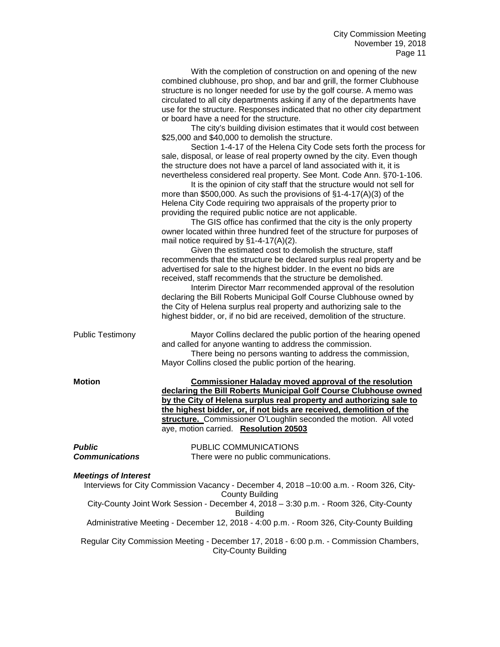|                                        | With the completion of construction on and opening of the new<br>combined clubhouse, pro shop, and bar and grill, the former Clubhouse<br>structure is no longer needed for use by the golf course. A memo was<br>circulated to all city departments asking if any of the departments have<br>use for the structure. Responses indicated that no other city department<br>or board have a need for the structure.<br>The city's building division estimates that it would cost between<br>\$25,000 and \$40,000 to demolish the structure.<br>Section 1-4-17 of the Helena City Code sets forth the process for<br>sale, disposal, or lease of real property owned by the city. Even though<br>the structure does not have a parcel of land associated with it, it is<br>nevertheless considered real property. See Mont. Code Ann. §70-1-106.<br>It is the opinion of city staff that the structure would not sell for<br>more than \$500,000. As such the provisions of $§1-4-17(A)(3)$ of the<br>Helena City Code requiring two appraisals of the property prior to<br>providing the required public notice are not applicable.<br>The GIS office has confirmed that the city is the only property<br>owner located within three hundred feet of the structure for purposes of<br>mail notice required by $\S1-4-17(A)(2)$ .<br>Given the estimated cost to demolish the structure, staff<br>recommends that the structure be declared surplus real property and be<br>advertised for sale to the highest bidder. In the event no bids are<br>received, staff recommends that the structure be demolished.<br>Interim Director Marr recommended approval of the resolution<br>declaring the Bill Roberts Municipal Golf Course Clubhouse owned by<br>the City of Helena surplus real property and authorizing sale to the<br>highest bidder, or, if no bid are received, demolition of the structure. |
|----------------------------------------|----------------------------------------------------------------------------------------------------------------------------------------------------------------------------------------------------------------------------------------------------------------------------------------------------------------------------------------------------------------------------------------------------------------------------------------------------------------------------------------------------------------------------------------------------------------------------------------------------------------------------------------------------------------------------------------------------------------------------------------------------------------------------------------------------------------------------------------------------------------------------------------------------------------------------------------------------------------------------------------------------------------------------------------------------------------------------------------------------------------------------------------------------------------------------------------------------------------------------------------------------------------------------------------------------------------------------------------------------------------------------------------------------------------------------------------------------------------------------------------------------------------------------------------------------------------------------------------------------------------------------------------------------------------------------------------------------------------------------------------------------------------------------------------------------------------------------------------------------------------------------------------------------------|
| <b>Public Testimony</b>                | Mayor Collins declared the public portion of the hearing opened<br>and called for anyone wanting to address the commission.<br>There being no persons wanting to address the commission,<br>Mayor Collins closed the public portion of the hearing.                                                                                                                                                                                                                                                                                                                                                                                                                                                                                                                                                                                                                                                                                                                                                                                                                                                                                                                                                                                                                                                                                                                                                                                                                                                                                                                                                                                                                                                                                                                                                                                                                                                      |
| <b>Motion</b>                          | <b>Commissioner Haladay moved approval of the resolution</b><br>declaring the Bill Roberts Municipal Golf Course Clubhouse owned<br>by the City of Helena surplus real property and authorizing sale to<br>the highest bidder, or, if not bids are received, demolition of the<br>structure. Commissioner O'Loughlin seconded the motion. All voted<br>aye, motion carried. Resolution 20503                                                                                                                                                                                                                                                                                                                                                                                                                                                                                                                                                                                                                                                                                                                                                                                                                                                                                                                                                                                                                                                                                                                                                                                                                                                                                                                                                                                                                                                                                                             |
| <b>Public</b><br><b>Communications</b> | PUBLIC COMMUNICATIONS<br>There were no public communications.                                                                                                                                                                                                                                                                                                                                                                                                                                                                                                                                                                                                                                                                                                                                                                                                                                                                                                                                                                                                                                                                                                                                                                                                                                                                                                                                                                                                                                                                                                                                                                                                                                                                                                                                                                                                                                            |
| <b>Meetings of Interest</b>            | Interviews for City Commission Vacancy - December 4, 2018 -10:00 a.m. - Room 326, City-<br><b>County Building</b><br>City-County Joint Work Session - December 4, 2018 - 3:30 p.m. - Room 326, City-County<br><b>Building</b><br>Administrative Meeting - December 12, 2018 - 4:00 p.m. - Room 326, City-County Building                                                                                                                                                                                                                                                                                                                                                                                                                                                                                                                                                                                                                                                                                                                                                                                                                                                                                                                                                                                                                                                                                                                                                                                                                                                                                                                                                                                                                                                                                                                                                                                 |
|                                        | Regular City Commission Meeting - December 17, 2018 - 6:00 p.m. - Commission Chambers,<br><b>City-County Building</b>                                                                                                                                                                                                                                                                                                                                                                                                                                                                                                                                                                                                                                                                                                                                                                                                                                                                                                                                                                                                                                                                                                                                                                                                                                                                                                                                                                                                                                                                                                                                                                                                                                                                                                                                                                                    |